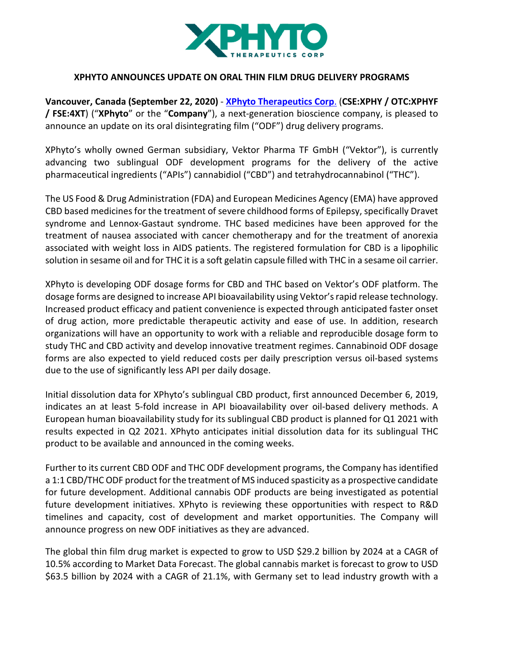

## **XPHYTO ANNOUNCES UPDATE ON ORAL THIN FILM DRUG DELIVERY PROGRAMS**

**Vancouver, Canada (September 22, 2020)** - **XPhyto Therapeutics Corp**. (**CSE:XPHY / OTC:XPHYF / FSE:4XT**) ("**XPhyto**" or the "**Company**"), a next-generation bioscience company, is pleased to announce an update on its oral disintegrating film ("ODF") drug delivery programs.

XPhyto's wholly owned German subsidiary, Vektor Pharma TF GmbH ("Vektor"), is currently advancing two sublingual ODF development programs for the delivery of the active pharmaceutical ingredients ("APIs") cannabidiol ("CBD") and tetrahydrocannabinol ("THC").

The US Food & Drug Administration (FDA) and European Medicines Agency (EMA) have approved CBD based medicines for the treatment of severe childhood forms of Epilepsy, specifically Dravet syndrome and Lennox-Gastaut syndrome. THC based medicines have been approved for the treatment of nausea associated with cancer chemotherapy and for the treatment of anorexia associated with weight loss in AIDS patients. The registered formulation for CBD is a lipophilic solution in sesame oil and for THC it is a soft gelatin capsule filled with THC in a sesame oil carrier.

XPhyto is developing ODF dosage forms for CBD and THC based on Vektor's ODF platform. The dosage forms are designed to increase API bioavailability using Vektor's rapid release technology. Increased product efficacy and patient convenience is expected through anticipated faster onset of drug action, more predictable therapeutic activity and ease of use. In addition, research organizations will have an opportunity to work with a reliable and reproducible dosage form to study THC and CBD activity and develop innovative treatment regimes. Cannabinoid ODF dosage forms are also expected to yield reduced costs per daily prescription versus oil-based systems due to the use of significantly less API per daily dosage.

Initial dissolution data for XPhyto's sublingual CBD product, first announced December 6, 2019, indicates an at least 5-fold increase in API bioavailability over oil-based delivery methods. A European human bioavailability study for its sublingual CBD product is planned for Q1 2021 with results expected in Q2 2021. XPhyto anticipates initial dissolution data for its sublingual THC product to be available and announced in the coming weeks.

Further to its current CBD ODF and THC ODF development programs, the Company has identified a 1:1 CBD/THC ODF product for the treatment of MS induced spasticity as a prospective candidate for future development. Additional cannabis ODF products are being investigated as potential future development initiatives. XPhyto is reviewing these opportunities with respect to R&D timelines and capacity, cost of development and market opportunities. The Company will announce progress on new ODF initiatives as they are advanced.

The global thin film drug market is expected to grow to USD \$29.2 billion by 2024 at a CAGR of 10.5% according to Market Data Forecast. The global cannabis market is forecast to grow to USD \$63.5 billion by 2024 with a CAGR of 21.1%, with Germany set to lead industry growth with a